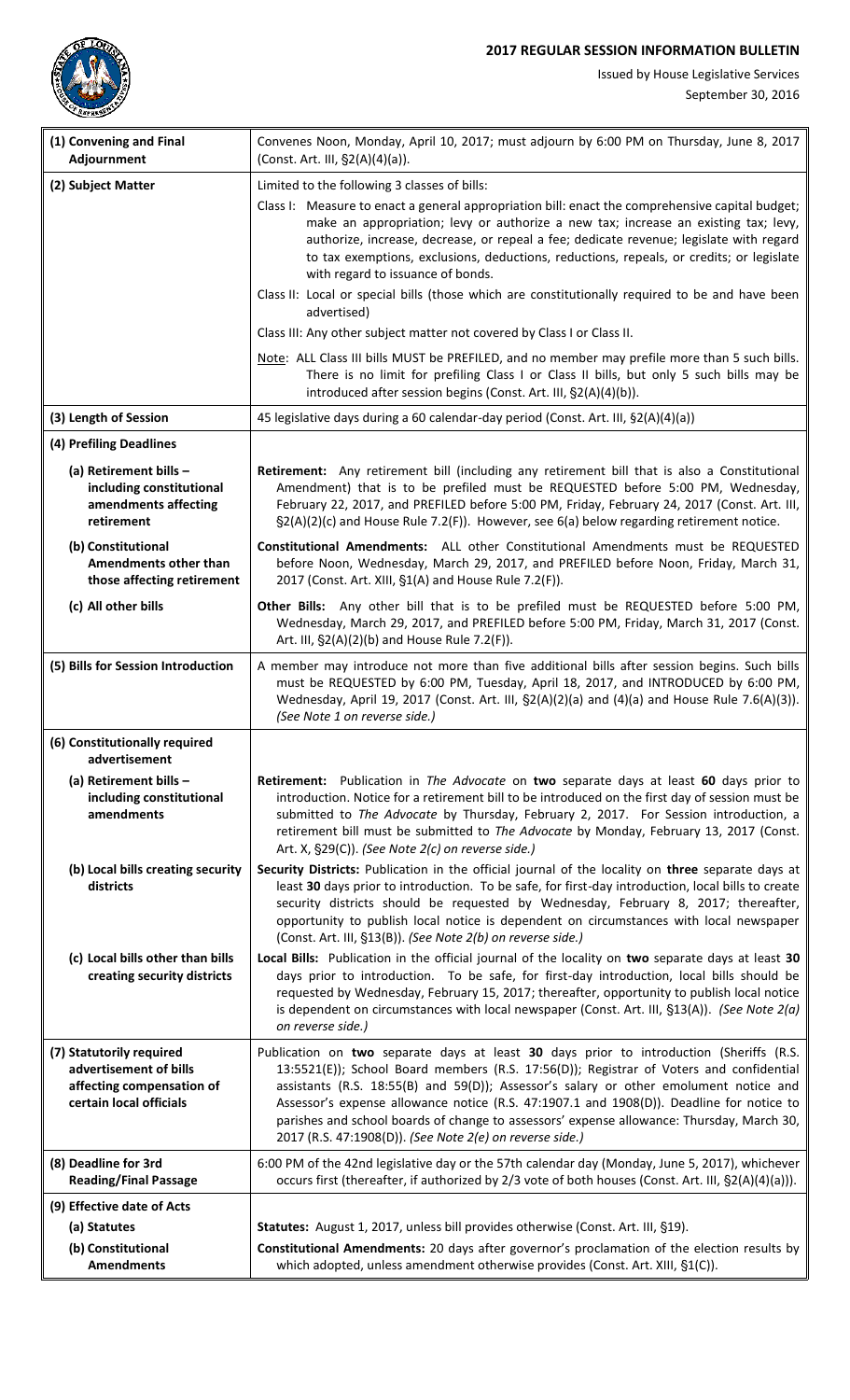## **2017 REGULAR SESSION INFORMATION BULLETIN**



Issued by House Legislative Services

| (1) Convening and Final<br>Adjournment                                                                     | Convenes Noon, Monday, April 10, 2017; must adjourn by 6:00 PM on Thursday, June 8, 2017<br>(Const. Art. III, §2(A)(4)(a)).                                                                                                                                                                                                                                                                                                                                                                                                      |
|------------------------------------------------------------------------------------------------------------|----------------------------------------------------------------------------------------------------------------------------------------------------------------------------------------------------------------------------------------------------------------------------------------------------------------------------------------------------------------------------------------------------------------------------------------------------------------------------------------------------------------------------------|
| (2) Subject Matter                                                                                         | Limited to the following 3 classes of bills:                                                                                                                                                                                                                                                                                                                                                                                                                                                                                     |
|                                                                                                            | Class I: Measure to enact a general appropriation bill: enact the comprehensive capital budget;<br>make an appropriation; levy or authorize a new tax; increase an existing tax; levy,<br>authorize, increase, decrease, or repeal a fee; dedicate revenue; legislate with regard<br>to tax exemptions, exclusions, deductions, reductions, repeals, or credits; or legislate<br>with regard to issuance of bonds.                                                                                                               |
|                                                                                                            | Class II: Local or special bills (those which are constitutionally required to be and have been<br>advertised)                                                                                                                                                                                                                                                                                                                                                                                                                   |
|                                                                                                            | Class III: Any other subject matter not covered by Class I or Class II.                                                                                                                                                                                                                                                                                                                                                                                                                                                          |
|                                                                                                            | Note: ALL Class III bills MUST be PREFILED, and no member may prefile more than 5 such bills.<br>There is no limit for prefiling Class I or Class II bills, but only 5 such bills may be<br>introduced after session begins (Const. Art. III, §2(A)(4)(b)).                                                                                                                                                                                                                                                                      |
| (3) Length of Session                                                                                      | 45 legislative days during a 60 calendar-day period (Const. Art. III, §2(A)(4)(a))                                                                                                                                                                                                                                                                                                                                                                                                                                               |
| (4) Prefiling Deadlines                                                                                    |                                                                                                                                                                                                                                                                                                                                                                                                                                                                                                                                  |
| (a) Retirement bills -<br>including constitutional<br>amendments affecting<br>retirement                   | Retirement: Any retirement bill (including any retirement bill that is also a Constitutional<br>Amendment) that is to be prefiled must be REQUESTED before 5:00 PM, Wednesday,<br>February 22, 2017, and PREFILED before 5:00 PM, Friday, February 24, 2017 (Const. Art. III,<br>$\S2(A)(2)(c)$ and House Rule 7.2(F)). However, see 6(a) below regarding retirement notice.                                                                                                                                                     |
| (b) Constitutional<br>Amendments other than<br>those affecting retirement                                  | Constitutional Amendments: ALL other Constitutional Amendments must be REQUESTED<br>before Noon, Wednesday, March 29, 2017, and PREFILED before Noon, Friday, March 31,<br>2017 (Const. Art. XIII, §1(A) and House Rule 7.2(F)).                                                                                                                                                                                                                                                                                                 |
| (c) All other bills                                                                                        | Other Bills: Any other bill that is to be prefiled must be REQUESTED before 5:00 PM,<br>Wednesday, March 29, 2017, and PREFILED before 5:00 PM, Friday, March 31, 2017 (Const.<br>Art. III, §2(A)(2)(b) and House Rule 7.2(F)).                                                                                                                                                                                                                                                                                                  |
| (5) Bills for Session Introduction                                                                         | A member may introduce not more than five additional bills after session begins. Such bills<br>must be REQUESTED by 6:00 PM, Tuesday, April 18, 2017, and INTRODUCED by 6:00 PM,<br>Wednesday, April 19, 2017 (Const. Art. III, $\S2(A)(2)(a)$ and $(4)(a)$ and House Rule 7.6(A)(3)).<br>(See Note 1 on reverse side.)                                                                                                                                                                                                          |
| (6) Constitutionally required<br>advertisement                                                             |                                                                                                                                                                                                                                                                                                                                                                                                                                                                                                                                  |
| (a) Retirement bills -<br>including constitutional<br>amendments                                           | Retirement: Publication in The Advocate on two separate days at least 60 days prior to<br>introduction. Notice for a retirement bill to be introduced on the first day of session must be<br>submitted to The Advocate by Thursday, February 2, 2017. For Session introduction, a<br>retirement bill must be submitted to The Advocate by Monday, February 13, 2017 (Const.<br>Art. X, §29(C)). (See Note 2(c) on reverse side.)                                                                                                 |
| (b) Local bills creating security<br>districts                                                             | Security Districts: Publication in the official journal of the locality on three separate days at<br>least 30 days prior to introduction. To be safe, for first-day introduction, local bills to create<br>security districts should be requested by Wednesday, February 8, 2017; thereafter,<br>opportunity to publish local notice is dependent on circumstances with local newspaper<br>(Const. Art. III, §13(B)). (See Note 2(b) on reverse side.)                                                                           |
| (c) Local bills other than bills<br>creating security districts                                            | Local Bills: Publication in the official journal of the locality on two separate days at least 30<br>days prior to introduction. To be safe, for first-day introduction, local bills should be<br>requested by Wednesday, February 15, 2017; thereafter, opportunity to publish local notice<br>is dependent on circumstances with local newspaper (Const. Art. III, §13(A)). (See Note 2(a)<br>on reverse side.)                                                                                                                |
| (7) Statutorily required<br>advertisement of bills<br>affecting compensation of<br>certain local officials | Publication on two separate days at least 30 days prior to introduction (Sheriffs (R.S.<br>13:5521(E)); School Board members (R.S. 17:56(D)); Registrar of Voters and confidential<br>assistants (R.S. 18:55(B) and 59(D)); Assessor's salary or other emolument notice and<br>Assessor's expense allowance notice (R.S. 47:1907.1 and 1908(D)). Deadline for notice to<br>parishes and school boards of change to assessors' expense allowance: Thursday, March 30,<br>2017 (R.S. 47:1908(D)). (See Note 2(e) on reverse side.) |
| (8) Deadline for 3rd<br><b>Reading/Final Passage</b>                                                       | 6:00 PM of the 42nd legislative day or the 57th calendar day (Monday, June 5, 2017), whichever<br>occurs first (thereafter, if authorized by 2/3 vote of both houses (Const. Art. III, §2(A)(4)(a))).                                                                                                                                                                                                                                                                                                                            |
| (9) Effective date of Acts                                                                                 |                                                                                                                                                                                                                                                                                                                                                                                                                                                                                                                                  |
| (a) Statutes                                                                                               | Statutes: August 1, 2017, unless bill provides otherwise (Const. Art. III, §19).                                                                                                                                                                                                                                                                                                                                                                                                                                                 |
| (b) Constitutional<br><b>Amendments</b>                                                                    | Constitutional Amendments: 20 days after governor's proclamation of the election results by<br>which adopted, unless amendment otherwise provides (Const. Art. XIII, §1(C)).                                                                                                                                                                                                                                                                                                                                                     |